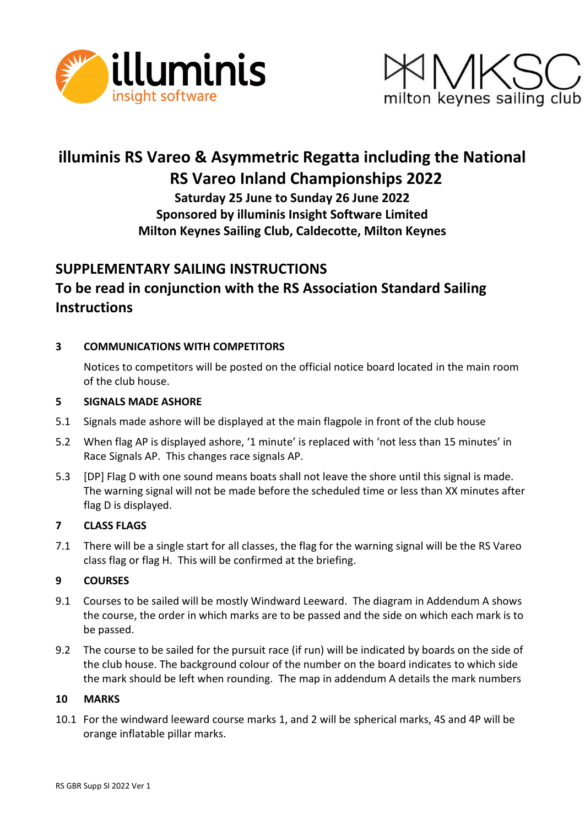



# **illuminis RS Vareo & Asymmetric Regatta including the National RS Vareo Inland Championships 2022**

**Saturday 25 June to Sunday 26 June 2022 Sponsored by illuminis Insight Software Limited Milton Keynes Sailing Club, Caldecotte, Milton Keynes**

## **SUPPLEMENTARY SAILING INSTRUCTIONS To be read in conjunction with the RS Association Standard Sailing Instructions**

## **3 COMMUNICATIONS WITH COMPETITORS**

Notices to competitors will be posted on the official notice board located in the main room of the club house.

## **5 SIGNALS MADE ASHORE**

- 5.1 Signals made ashore will be displayed at the main flagpole in front of the club house
- 5.2 When flag AP is displayed ashore, '1 minute' is replaced with 'not less than 15 minutes' in Race Signals AP. This changes race signals AP.
- 5.3 [DP] Flag D with one sound means boats shall not leave the shore until this signal is made. The warning signal will not be made before the scheduled time or less than XX minutes after flag D is displayed.

## **7 CLASS FLAGS**

7.1 There will be a single start for all classes, the flag for the warning signal will be the RS Vareo class flag or flag H. This will be confirmed at the briefing.

#### **9 COURSES**

- 9.1 Courses to be sailed will be mostly Windward Leeward. The diagram in Addendum A shows the course, the order in which marks are to be passed and the side on which each mark is to be passed.
- 9.2 The course to be sailed for the pursuit race (if run) will be indicated by boards on the side of the club house. The background colour of the number on the board indicates to which side the mark should be left when rounding. The map in addendum A details the mark numbers

#### **10 MARKS**

10.1 For the windward leeward course marks 1, and 2 will be spherical marks, 4S and 4P will be orange inflatable pillar marks.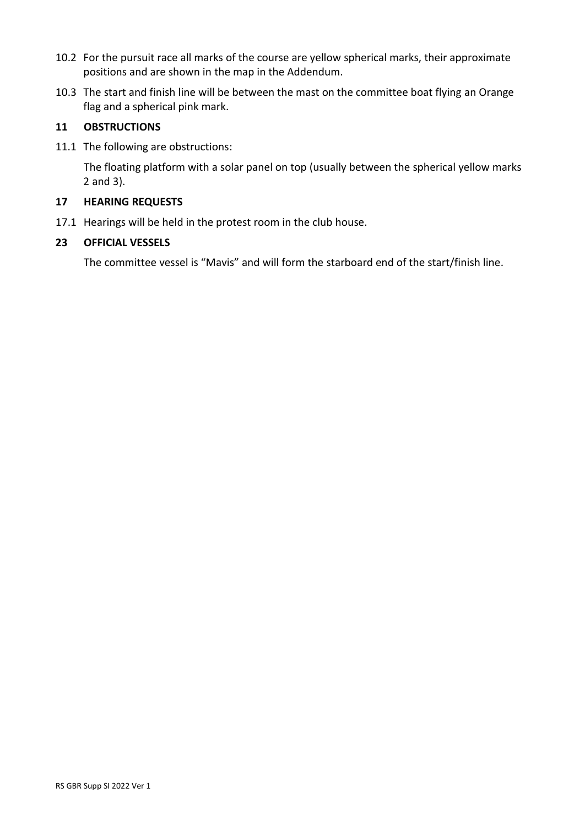- 10.2 For the pursuit race all marks of the course are yellow spherical marks, their approximate positions and are shown in the map in the Addendum.
- 10.3 The start and finish line will be between the mast on the committee boat flying an Orange flag and a spherical pink mark.

## **11 OBSTRUCTIONS**

11.1 The following are obstructions:

The floating platform with a solar panel on top (usually between the spherical yellow marks 2 and 3).

#### **17 HEARING REQUESTS**

17.1 Hearings will be held in the protest room in the club house.

#### **23 OFFICIAL VESSELS**

The committee vessel is "Mavis" and will form the starboard end of the start/finish line.